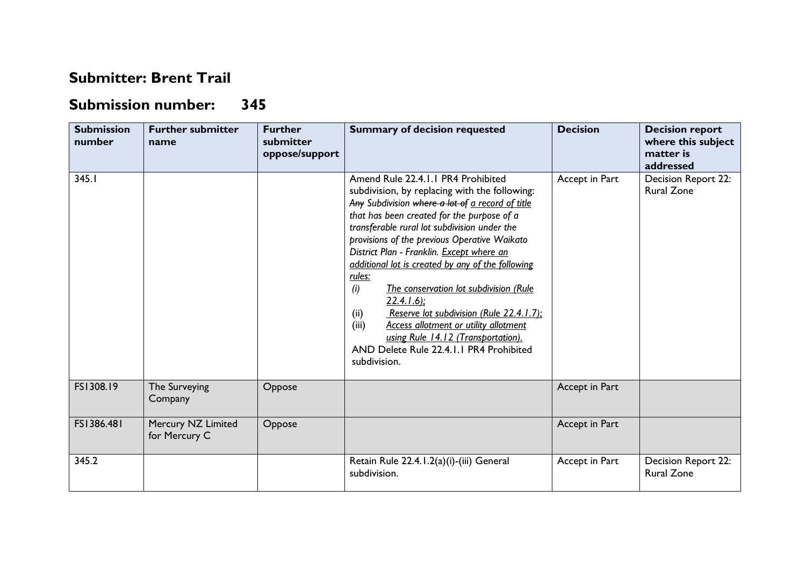## **Submitter: Brent Trail**

## **Submission number: 345**

| <b>Submission</b><br>number | <b>Further submitter</b><br>name    | <b>Further</b><br>submitter<br>oppose/support | <b>Summary of decision requested</b>                                                                                                                                                                                                                                                                                                                                                                                                                                                                                                                                                                                                                                             | <b>Decision</b> | <b>Decision report</b><br>where this subject<br>matter is<br>addressed |
|-----------------------------|-------------------------------------|-----------------------------------------------|----------------------------------------------------------------------------------------------------------------------------------------------------------------------------------------------------------------------------------------------------------------------------------------------------------------------------------------------------------------------------------------------------------------------------------------------------------------------------------------------------------------------------------------------------------------------------------------------------------------------------------------------------------------------------------|-----------------|------------------------------------------------------------------------|
| 345.1                       |                                     |                                               | Amend Rule 22.4.1.1 PR4 Prohibited<br>subdivision, by replacing with the following:<br>Any Subdivision where a lot of a record of title<br>that has been created for the purpose of a<br>transferable rural lot subdivision under the<br>provisions of the previous Operative Waikato<br>District Plan - Franklin. Except where an<br>additional lot is created by any of the following<br>rules:<br>(i)<br>The conservation lot subdivision (Rule<br>$22.4.1.6$ ;<br>Reserve lot subdivision (Rule 22.4.1.7);<br>(ii)<br>(iii)<br><b>Access allotment or utility allotment</b><br>using Rule 14.12 (Transportation).<br>AND Delete Rule 22.4.1.1 PR4 Prohibited<br>subdivision. | Accept in Part  | Decision Report 22:<br><b>Rural Zone</b>                               |
| FS1308.19                   | The Surveying<br>Company            | Oppose                                        |                                                                                                                                                                                                                                                                                                                                                                                                                                                                                                                                                                                                                                                                                  | Accept in Part  |                                                                        |
| FS1386.481                  | Mercury NZ Limited<br>for Mercury C | Oppose                                        |                                                                                                                                                                                                                                                                                                                                                                                                                                                                                                                                                                                                                                                                                  | Accept in Part  |                                                                        |
| 345.2                       |                                     |                                               | Retain Rule 22.4.1.2(a)(i)-(iii) General<br>subdivision.                                                                                                                                                                                                                                                                                                                                                                                                                                                                                                                                                                                                                         | Accept in Part  | Decision Report 22:<br><b>Rural Zone</b>                               |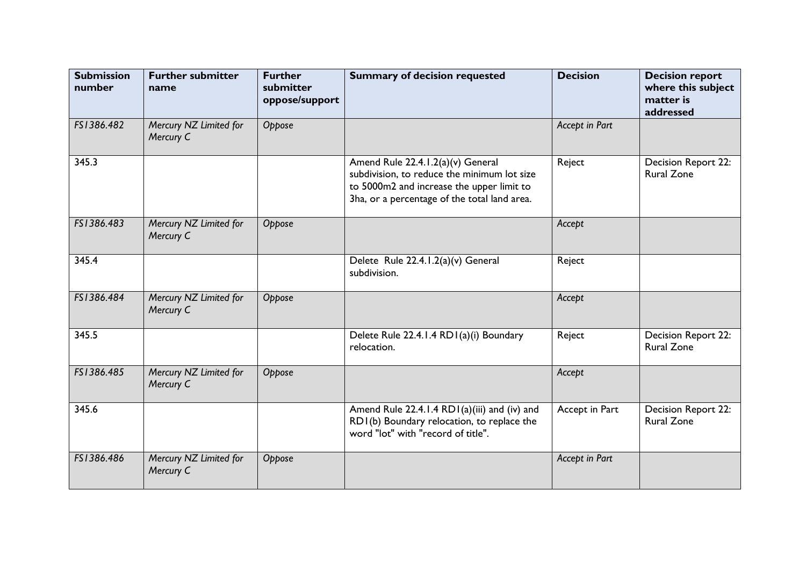| <b>Submission</b><br>number | <b>Further submitter</b><br>name    | <b>Further</b><br>submitter<br>oppose/support | <b>Summary of decision requested</b>                                                                                                                                          | <b>Decision</b> | <b>Decision report</b><br>where this subject<br>matter is<br>addressed |
|-----------------------------|-------------------------------------|-----------------------------------------------|-------------------------------------------------------------------------------------------------------------------------------------------------------------------------------|-----------------|------------------------------------------------------------------------|
| FS1386.482                  | Mercury NZ Limited for<br>Mercury C | Oppose                                        |                                                                                                                                                                               | Accept in Part  |                                                                        |
| 345.3                       |                                     |                                               | Amend Rule 22.4.1.2(a)(v) General<br>subdivision, to reduce the minimum lot size<br>to 5000m2 and increase the upper limit to<br>3ha, or a percentage of the total land area. | Reject          | Decision Report 22:<br><b>Rural Zone</b>                               |
| FS1386.483                  | Mercury NZ Limited for<br>Mercury C | Oppose                                        |                                                                                                                                                                               | Accept          |                                                                        |
| 345.4                       |                                     |                                               | Delete Rule 22.4.1.2(a)(v) General<br>subdivision.                                                                                                                            | Reject          |                                                                        |
| FS1386.484                  | Mercury NZ Limited for<br>Mercury C | Oppose                                        |                                                                                                                                                                               | Accept          |                                                                        |
| 345.5                       |                                     |                                               | Delete Rule 22.4.1.4 RD1(a)(i) Boundary<br>relocation.                                                                                                                        | Reject          | Decision Report 22:<br><b>Rural Zone</b>                               |
| FS1386.485                  | Mercury NZ Limited for<br>Mercury C | Oppose                                        |                                                                                                                                                                               | Accept          |                                                                        |
| 345.6                       |                                     |                                               | Amend Rule 22.4.1.4 RD1(a)(iii) and (iv) and<br>RD1(b) Boundary relocation, to replace the<br>word "lot" with "record of title".                                              | Accept in Part  | <b>Decision Report 22:</b><br><b>Rural Zone</b>                        |
| FS1386.486                  | Mercury NZ Limited for<br>Mercury C | Oppose                                        |                                                                                                                                                                               | Accept in Part  |                                                                        |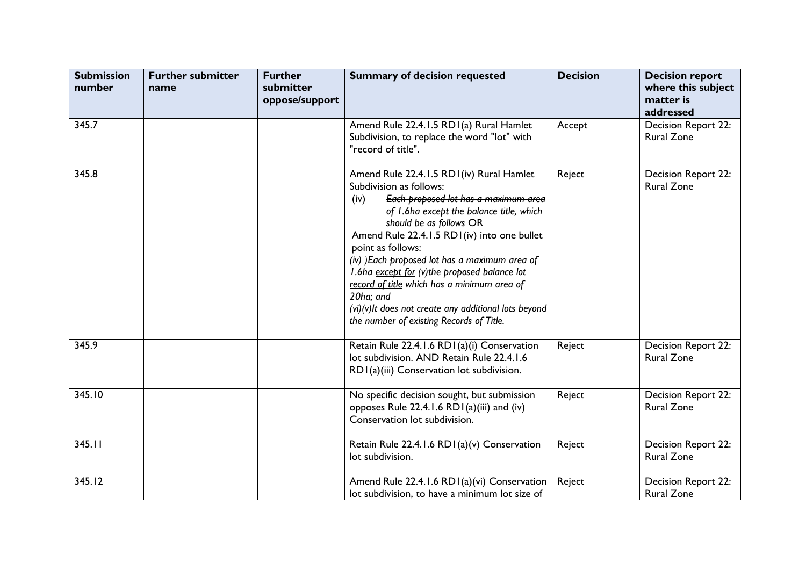| <b>Submission</b><br>number | <b>Further submitter</b><br>name | <b>Further</b><br>submitter<br>oppose/support | <b>Summary of decision requested</b>                                                                                                                                                                                                                                                                                                                                                                                                                                                                                               | <b>Decision</b> | <b>Decision report</b><br>where this subject<br>matter is<br>addressed |
|-----------------------------|----------------------------------|-----------------------------------------------|------------------------------------------------------------------------------------------------------------------------------------------------------------------------------------------------------------------------------------------------------------------------------------------------------------------------------------------------------------------------------------------------------------------------------------------------------------------------------------------------------------------------------------|-----------------|------------------------------------------------------------------------|
| 345.7                       |                                  |                                               | Amend Rule 22.4.1.5 RD1(a) Rural Hamlet<br>Subdivision, to replace the word "lot" with<br>"record of title".                                                                                                                                                                                                                                                                                                                                                                                                                       | Accept          | Decision Report 22:<br><b>Rural Zone</b>                               |
| 345.8                       |                                  |                                               | Amend Rule 22.4.1.5 RD1(iv) Rural Hamlet<br>Subdivision as follows:<br>Each proposed lot has a maximum area<br>(iv)<br>of I.6ha except the balance title, which<br>should be as follows OR<br>Amend Rule 22.4.1.5 RD1(iv) into one bullet<br>point as follows:<br>(iv) )Each proposed lot has a maximum area of<br>I.6ha except for (v)the proposed balance lot<br>record of title which has a minimum area of<br>20ha; and<br>$(vi)(v)$ It does not create any additional lots beyond<br>the number of existing Records of Title. | Reject          | Decision Report 22:<br><b>Rural Zone</b>                               |
| 345.9                       |                                  |                                               | Retain Rule 22.4.1.6 RD1(a)(i) Conservation<br>lot subdivision. AND Retain Rule 22.4.1.6<br>RD1(a)(iii) Conservation lot subdivision.                                                                                                                                                                                                                                                                                                                                                                                              | Reject          | Decision Report 22:<br><b>Rural Zone</b>                               |
| 345.10                      |                                  |                                               | No specific decision sought, but submission<br>opposes Rule 22.4.1.6 RD1(a)(iii) and (iv)<br>Conservation lot subdivision.                                                                                                                                                                                                                                                                                                                                                                                                         | Reject          | <b>Decision Report 22:</b><br><b>Rural Zone</b>                        |
| 345.11                      |                                  |                                               | Retain Rule 22.4.1.6 RD1(a)(v) Conservation<br>lot subdivision.                                                                                                                                                                                                                                                                                                                                                                                                                                                                    | Reject          | Decision Report 22:<br><b>Rural Zone</b>                               |
| 345.12                      |                                  |                                               | Amend Rule 22.4.1.6 RD1(a)(vi) Conservation<br>lot subdivision, to have a minimum lot size of                                                                                                                                                                                                                                                                                                                                                                                                                                      | Reject          | Decision Report 22:<br><b>Rural Zone</b>                               |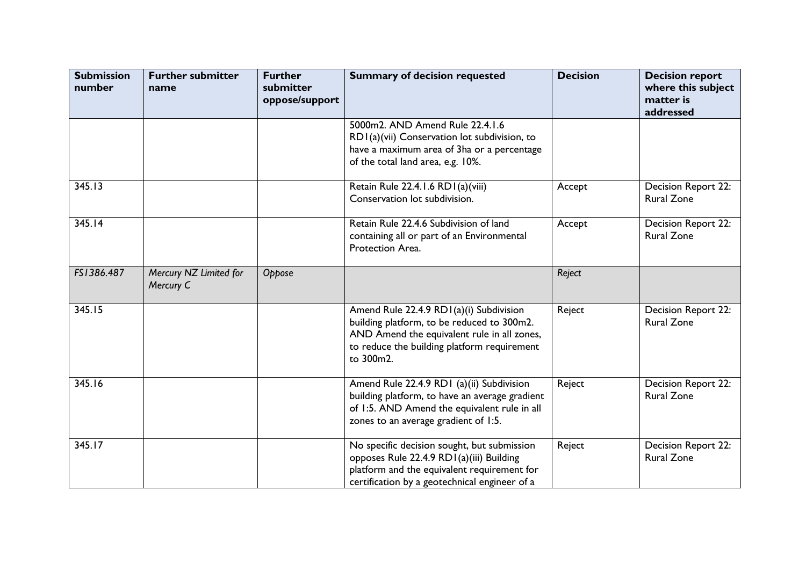| <b>Submission</b><br>number | <b>Further submitter</b><br>name    | <b>Further</b><br>submitter<br>oppose/support | <b>Summary of decision requested</b>                                                                                                                                                             | <b>Decision</b> | <b>Decision report</b><br>where this subject<br>matter is<br>addressed |
|-----------------------------|-------------------------------------|-----------------------------------------------|--------------------------------------------------------------------------------------------------------------------------------------------------------------------------------------------------|-----------------|------------------------------------------------------------------------|
|                             |                                     |                                               | 5000m2. AND Amend Rule 22.4.1.6<br>RD1(a)(vii) Conservation lot subdivision, to<br>have a maximum area of 3ha or a percentage<br>of the total land area, e.g. 10%.                               |                 |                                                                        |
| 345.13                      |                                     |                                               | Retain Rule 22.4.1.6 RD1(a)(viii)<br>Conservation lot subdivision.                                                                                                                               | Accept          | Decision Report 22:<br><b>Rural Zone</b>                               |
| 345.14                      |                                     |                                               | Retain Rule 22.4.6 Subdivision of land<br>containing all or part of an Environmental<br>Protection Area.                                                                                         | Accept          | Decision Report 22:<br><b>Rural Zone</b>                               |
| FS1386.487                  | Mercury NZ Limited for<br>Mercury C | Oppose                                        |                                                                                                                                                                                                  | Reject          |                                                                        |
| 345.15                      |                                     |                                               | Amend Rule 22.4.9 RD1(a)(i) Subdivision<br>building platform, to be reduced to 300m2.<br>AND Amend the equivalent rule in all zones,<br>to reduce the building platform requirement<br>to 300m2. | Reject          | Decision Report 22:<br><b>Rural Zone</b>                               |
| 345.16                      |                                     |                                               | Amend Rule 22.4.9 RD1 (a)(ii) Subdivision<br>building platform, to have an average gradient<br>of 1:5. AND Amend the equivalent rule in all<br>zones to an average gradient of 1:5.              | Reject          | Decision Report 22:<br><b>Rural Zone</b>                               |
| 345.17                      |                                     |                                               | No specific decision sought, but submission<br>opposes Rule 22.4.9 RDI(a)(iii) Building<br>platform and the equivalent requirement for<br>certification by a geotechnical engineer of a          | Reject          | Decision Report 22:<br><b>Rural Zone</b>                               |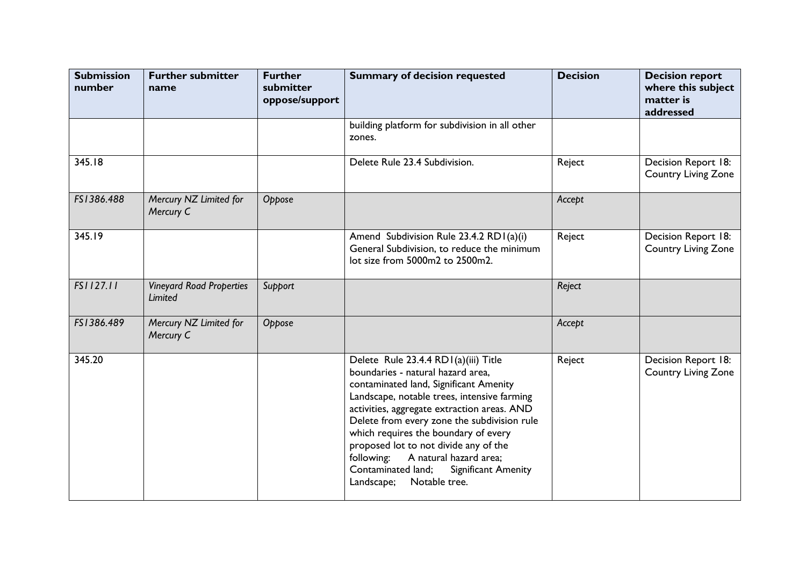| <b>Submission</b><br>number | <b>Further submitter</b><br>name           | <b>Further</b><br>submitter<br>oppose/support | <b>Summary of decision requested</b>                                                                                                                                                                                                                                                                                                                                                                                                                                  | <b>Decision</b> | <b>Decision report</b><br>where this subject<br>matter is<br>addressed |
|-----------------------------|--------------------------------------------|-----------------------------------------------|-----------------------------------------------------------------------------------------------------------------------------------------------------------------------------------------------------------------------------------------------------------------------------------------------------------------------------------------------------------------------------------------------------------------------------------------------------------------------|-----------------|------------------------------------------------------------------------|
|                             |                                            |                                               | building platform for subdivision in all other<br>zones.                                                                                                                                                                                                                                                                                                                                                                                                              |                 |                                                                        |
| 345.18                      |                                            |                                               | Delete Rule 23.4 Subdivision.                                                                                                                                                                                                                                                                                                                                                                                                                                         | Reject          | Decision Report 18:<br><b>Country Living Zone</b>                      |
| FS1386.488                  | Mercury NZ Limited for<br>Mercury C        | Oppose                                        |                                                                                                                                                                                                                                                                                                                                                                                                                                                                       | Accept          |                                                                        |
| 345.19                      |                                            |                                               | Amend Subdivision Rule 23.4.2 RD I (a)(i)<br>General Subdivision, to reduce the minimum<br>lot size from 5000m2 to 2500m2.                                                                                                                                                                                                                                                                                                                                            | Reject          | Decision Report 18:<br><b>Country Living Zone</b>                      |
| FS1127.11                   | <b>Vineyard Road Properties</b><br>Limited | Support                                       |                                                                                                                                                                                                                                                                                                                                                                                                                                                                       | Reject          |                                                                        |
| FS1386.489                  | Mercury NZ Limited for<br>Mercury C        | Oppose                                        |                                                                                                                                                                                                                                                                                                                                                                                                                                                                       | Accept          |                                                                        |
| 345.20                      |                                            |                                               | Delete Rule 23.4.4 RDI(a)(iii) Title<br>boundaries - natural hazard area,<br>contaminated land, Significant Amenity<br>Landscape, notable trees, intensive farming<br>activities, aggregate extraction areas. AND<br>Delete from every zone the subdivision rule<br>which requires the boundary of every<br>proposed lot to not divide any of the<br>A natural hazard area;<br>following:<br>Significant Amenity<br>Contaminated land;<br>Notable tree.<br>Landscape; | Reject          | Decision Report 18:<br><b>Country Living Zone</b>                      |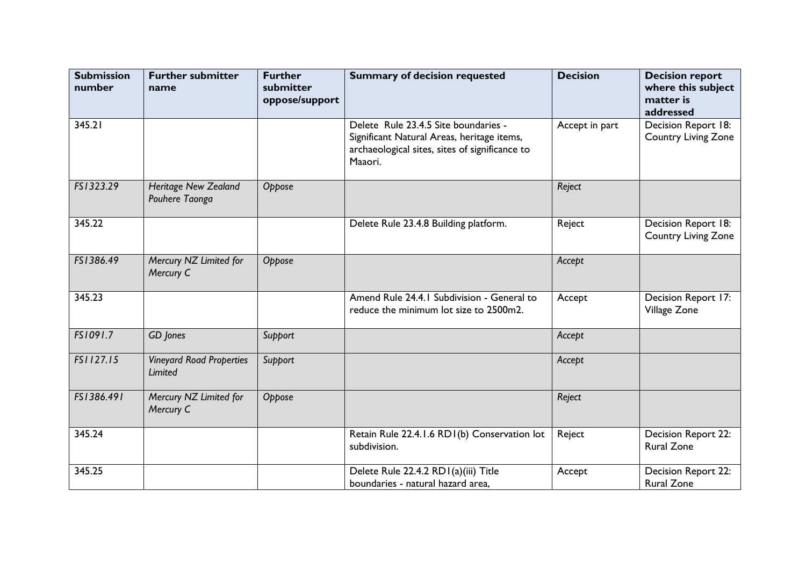| <b>Submission</b><br>number | <b>Further submitter</b><br>name           | <b>Further</b><br>submitter<br>oppose/support | <b>Summary of decision requested</b>                                                                                                            | <b>Decision</b> | <b>Decision report</b><br>where this subject<br>matter is<br>addressed |
|-----------------------------|--------------------------------------------|-----------------------------------------------|-------------------------------------------------------------------------------------------------------------------------------------------------|-----------------|------------------------------------------------------------------------|
| 345.21                      |                                            |                                               | Delete Rule 23.4.5 Site boundaries -<br>Significant Natural Areas, heritage items,<br>archaeological sites, sites of significance to<br>Maaori. | Accept in part  | Decision Report 18:<br><b>Country Living Zone</b>                      |
| FS1323.29                   | Heritage New Zealand<br>Pouhere Taonga     | Oppose                                        |                                                                                                                                                 | Reject          |                                                                        |
| 345.22                      |                                            |                                               | Delete Rule 23.4.8 Building platform.                                                                                                           | Reject          | Decision Report 18:<br><b>Country Living Zone</b>                      |
| FS1386.49                   | Mercury NZ Limited for<br>Mercury C        | Oppose                                        |                                                                                                                                                 | Accept          |                                                                        |
| 345.23                      |                                            |                                               | Amend Rule 24.4.1 Subdivision - General to<br>reduce the minimum lot size to 2500m2.                                                            | Accept          | Decision Report 17:<br>Village Zone                                    |
| FS1091.7                    | GD Jones                                   | Support                                       |                                                                                                                                                 | Accept          |                                                                        |
| FS1127.15                   | <b>Vineyard Road Properties</b><br>Limited | Support                                       |                                                                                                                                                 | Accept          |                                                                        |
| FS1386.491                  | Mercury NZ Limited for<br>Mercury C        | Oppose                                        |                                                                                                                                                 | Reject          |                                                                        |
| 345.24                      |                                            |                                               | Retain Rule 22.4.1.6 RD1(b) Conservation lot<br>subdivision.                                                                                    | Reject          | Decision Report 22:<br><b>Rural Zone</b>                               |
| 345.25                      |                                            |                                               | Delete Rule 22.4.2 RDI(a)(iii) Title<br>boundaries - natural hazard area,                                                                       | Accept          | Decision Report 22:<br><b>Rural Zone</b>                               |